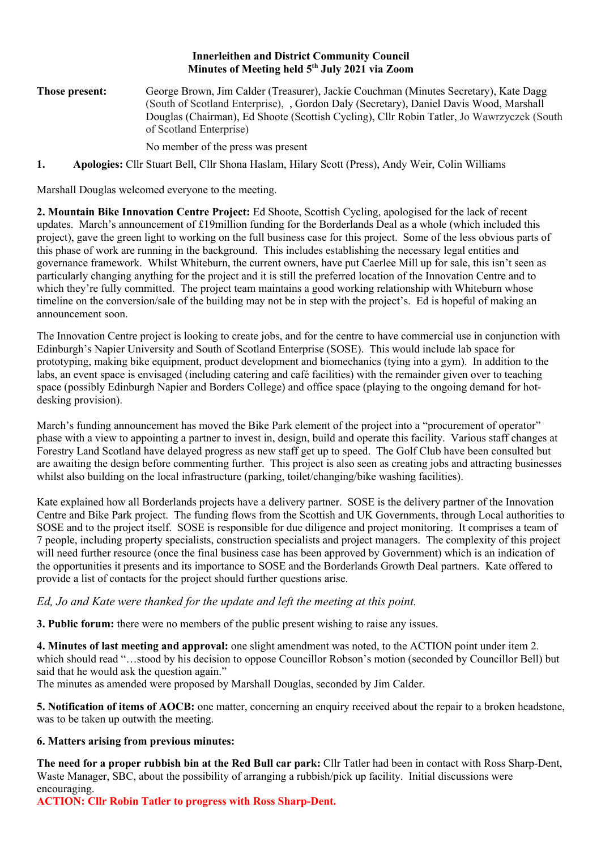### **Innerleithen and District Community Council Minutes of Meeting held 5th July 2021 via Zoom**

**Those present:** George Brown, Jim Calder (Treasurer), Jackie Couchman (Minutes Secretary), Kate Dagg (South of Scotland Enterprise), , Gordon Daly (Secretary), Daniel Davis Wood, Marshall Douglas (Chairman), Ed Shoote (Scottish Cycling), Cllr Robin Tatler, Jo Wawrzyczek (South of Scotland Enterprise)

No member of the press was present

**1. Apologies:** Cllr Stuart Bell, Cllr Shona Haslam, Hilary Scott (Press), Andy Weir, Colin Williams

Marshall Douglas welcomed everyone to the meeting.

**2. Mountain Bike Innovation Centre Project:** Ed Shoote, Scottish Cycling, apologised for the lack of recent updates. March's announcement of £19million funding for the Borderlands Deal as a whole (which included this project), gave the green light to working on the full business case for this project. Some of the less obvious parts of this phase of work are running in the background. This includes establishing the necessary legal entities and governance framework. Whilst Whiteburn, the current owners, have put Caerlee Mill up for sale, this isn't seen as particularly changing anything for the project and it is still the preferred location of the Innovation Centre and to which they're fully committed. The project team maintains a good working relationship with Whiteburn whose timeline on the conversion/sale of the building may not be in step with the project's. Ed is hopeful of making an announcement soon.

The Innovation Centre project is looking to create jobs, and for the centre to have commercial use in conjunction with Edinburgh's Napier University and South of Scotland Enterprise (SOSE). This would include lab space for prototyping, making bike equipment, product development and biomechanics (tying into a gym). In addition to the labs, an event space is envisaged (including catering and café facilities) with the remainder given over to teaching space (possibly Edinburgh Napier and Borders College) and office space (playing to the ongoing demand for hotdesking provision).

March's funding announcement has moved the Bike Park element of the project into a "procurement of operator" phase with a view to appointing a partner to invest in, design, build and operate this facility. Various staff changes at Forestry Land Scotland have delayed progress as new staff get up to speed. The Golf Club have been consulted but are awaiting the design before commenting further. This project is also seen as creating jobs and attracting businesses whilst also building on the local infrastructure (parking, toilet/changing/bike washing facilities).

Kate explained how all Borderlands projects have a delivery partner. SOSE is the delivery partner of the Innovation Centre and Bike Park project. The funding flows from the Scottish and UK Governments, through Local authorities to SOSE and to the project itself. SOSE is responsible for due diligence and project monitoring. It comprises a team of 7 people, including property specialists, construction specialists and project managers. The complexity of this project will need further resource (once the final business case has been approved by Government) which is an indication of the opportunities it presents and its importance to SOSE and the Borderlands Growth Deal partners. Kate offered to provide a list of contacts for the project should further questions arise.

# *Ed, Jo and Kate were thanked for the update and left the meeting at this point.*

**3. Public forum:** there were no members of the public present wishing to raise any issues.

**4. Minutes of last meeting and approval:** one slight amendment was noted, to the ACTION point under item 2. which should read "...stood by his decision to oppose Councillor Robson's motion (seconded by Councillor Bell) but said that he would ask the question again."

The minutes as amended were proposed by Marshall Douglas, seconded by Jim Calder.

**5. Notification of items of AOCB:** one matter, concerning an enquiry received about the repair to a broken headstone, was to be taken up outwith the meeting.

# **6. Matters arising from previous minutes:**

**The need for a proper rubbish bin at the Red Bull car park:** Cllr Tatler had been in contact with Ross Sharp-Dent, Waste Manager, SBC, about the possibility of arranging a rubbish/pick up facility. Initial discussions were encouraging.

**ACTION: Cllr Robin Tatler to progress with Ross Sharp-Dent.**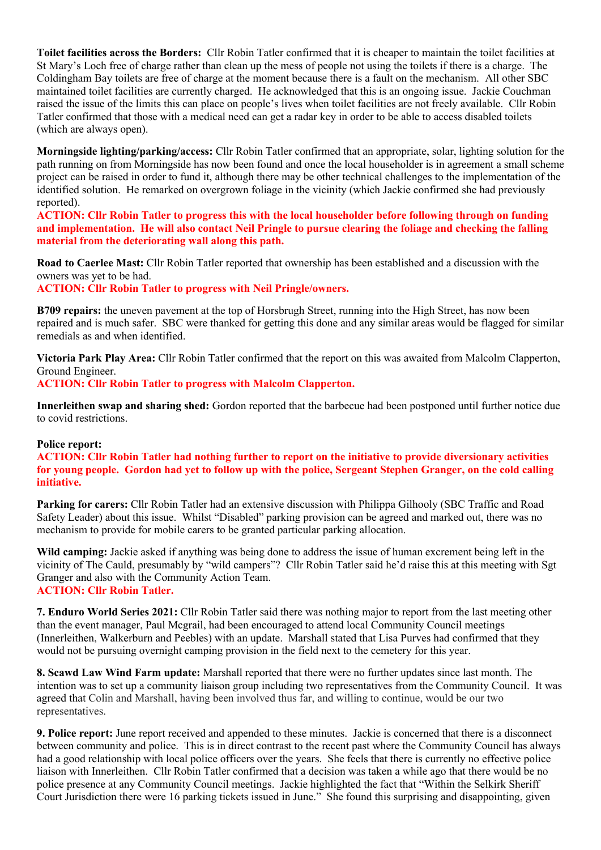**Toilet facilities across the Borders:** Cllr Robin Tatler confirmed that it is cheaper to maintain the toilet facilities at St Mary's Loch free of charge rather than clean up the mess of people not using the toilets if there is a charge. The Coldingham Bay toilets are free of charge at the moment because there is a fault on the mechanism. All other SBC maintained toilet facilities are currently charged. He acknowledged that this is an ongoing issue. Jackie Couchman raised the issue of the limits this can place on people's lives when toilet facilities are not freely available. Cllr Robin Tatler confirmed that those with a medical need can get a radar key in order to be able to access disabled toilets (which are always open).

**Morningside lighting/parking/access:** Cllr Robin Tatler confirmed that an appropriate, solar, lighting solution for the path running on from Morningside has now been found and once the local householder is in agreement a small scheme project can be raised in order to fund it, although there may be other technical challenges to the implementation of the identified solution. He remarked on overgrown foliage in the vicinity (which Jackie confirmed she had previously reported).

**ACTION: Cllr Robin Tatler to progress this with the local householder before following through on funding and implementation. He will also contact Neil Pringle to pursue clearing the foliage and checking the falling material from the deteriorating wall along this path.**

**Road to Caerlee Mast:** Cllr Robin Tatler reported that ownership has been established and a discussion with the owners was yet to be had.

**ACTION: Cllr Robin Tatler to progress with Neil Pringle/owners.** 

**B709 repairs:** the uneven pavement at the top of Horsbrugh Street, running into the High Street, has now been repaired and is much safer. SBC were thanked for getting this done and any similar areas would be flagged for similar remedials as and when identified.

**Victoria Park Play Area:** Cllr Robin Tatler confirmed that the report on this was awaited from Malcolm Clapperton, Ground Engineer.

**ACTION: Cllr Robin Tatler to progress with Malcolm Clapperton.**

**Innerleithen swap and sharing shed:** Gordon reported that the barbecue had been postponed until further notice due to covid restrictions.

#### **Police report:**

**ACTION: Cllr Robin Tatler had nothing further to report on the initiative to provide diversionary activities for young people. Gordon had yet to follow up with the police, Sergeant Stephen Granger, on the cold calling initiative.** 

**Parking for carers:** Cllr Robin Tatler had an extensive discussion with Philippa Gilhooly (SBC Traffic and Road Safety Leader) about this issue. Whilst "Disabled" parking provision can be agreed and marked out, there was no mechanism to provide for mobile carers to be granted particular parking allocation.

**Wild camping:** Jackie asked if anything was being done to address the issue of human excrement being left in the vicinity of The Cauld, presumably by "wild campers"? Cllr Robin Tatler said he'd raise this at this meeting with Sgt Granger and also with the Community Action Team. **ACTION: Cllr Robin Tatler.**

**7. Enduro World Series 2021:** Cllr Robin Tatler said there was nothing major to report from the last meeting other than the event manager, Paul Mcgrail, had been encouraged to attend local Community Council meetings (Innerleithen, Walkerburn and Peebles) with an update. Marshall stated that Lisa Purves had confirmed that they would not be pursuing overnight camping provision in the field next to the cemetery for this year.

**8. Scawd Law Wind Farm update:** Marshall reported that there were no further updates since last month. The intention was to set up a community liaison group including two representatives from the Community Council. It was agreed that Colin and Marshall, having been involved thus far, and willing to continue, would be our two representatives.

**9. Police report:** June report received and appended to these minutes. Jackie is concerned that there is a disconnect between community and police. This is in direct contrast to the recent past where the Community Council has always had a good relationship with local police officers over the years. She feels that there is currently no effective police liaison with Innerleithen. Cllr Robin Tatler confirmed that a decision was taken a while ago that there would be no police presence at any Community Council meetings. Jackie highlighted the fact that "Within the Selkirk Sheriff Court Jurisdiction there were 16 parking tickets issued in June." She found this surprising and disappointing, given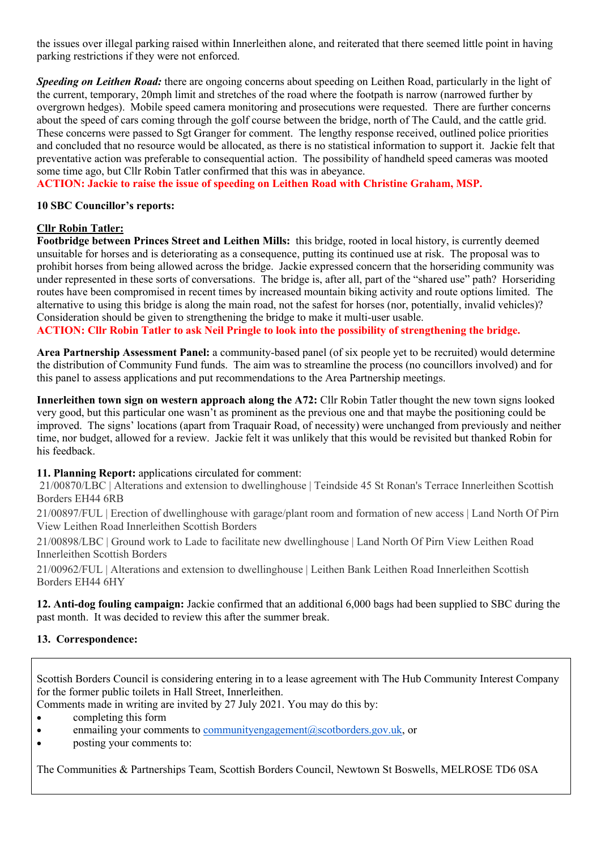the issues over illegal parking raised within Innerleithen alone, and reiterated that there seemed little point in having parking restrictions if they were not enforced.

*Speeding on Leithen Road:* there are ongoing concerns about speeding on Leithen Road, particularly in the light of the current, temporary, 20mph limit and stretches of the road where the footpath is narrow (narrowed further by overgrown hedges). Mobile speed camera monitoring and prosecutions were requested. There are further concerns about the speed of cars coming through the golf course between the bridge, north of The Cauld, and the cattle grid. These concerns were passed to Sgt Granger for comment. The lengthy response received, outlined police priorities and concluded that no resource would be allocated, as there is no statistical information to support it. Jackie felt that preventative action was preferable to consequential action. The possibility of handheld speed cameras was mooted some time ago, but Cllr Robin Tatler confirmed that this was in abeyance.

**ACTION: Jackie to raise the issue of speeding on Leithen Road with Christine Graham, MSP.**

### **10 SBC Councillor's reports:**

# **Cllr Robin Tatler:**

**Footbridge between Princes Street and Leithen Mills:** this bridge, rooted in local history, is currently deemed unsuitable for horses and is deteriorating as a consequence, putting its continued use at risk. The proposal was to prohibit horses from being allowed across the bridge. Jackie expressed concern that the horseriding community was under represented in these sorts of conversations. The bridge is, after all, part of the "shared use" path? Horseriding routes have been compromised in recent times by increased mountain biking activity and route options limited. The alternative to using this bridge is along the main road, not the safest for horses (nor, potentially, invalid vehicles)? Consideration should be given to strengthening the bridge to make it multi-user usable.

**ACTION: Cllr Robin Tatler to ask Neil Pringle to look into the possibility of strengthening the bridge.**

**Area Partnership Assessment Panel:** a community-based panel (of six people yet to be recruited) would determine the distribution of Community Fund funds. The aim was to streamline the process (no councillors involved) and for this panel to assess applications and put recommendations to the Area Partnership meetings.

**Innerleithen town sign on western approach along the A72:** Cllr Robin Tatler thought the new town signs looked very good, but this particular one wasn't as prominent as the previous one and that maybe the positioning could be improved. The signs' locations (apart from Traquair Road, of necessity) were unchanged from previously and neither time, nor budget, allowed for a review. Jackie felt it was unlikely that this would be revisited but thanked Robin for his feedback.

#### **11. Planning Report:** applications circulated for comment:

21/00870/LBC | Alterations and extension to dwellinghouse | Teindside 45 St Ronan's Terrace Innerleithen Scottish Borders EH44 6RB

21/00897/FUL | Erection of dwellinghouse with garage/plant room and formation of new access | Land North Of Pirn View Leithen Road Innerleithen Scottish Borders

21/00898/LBC | Ground work to Lade to facilitate new dwellinghouse | Land North Of Pirn View Leithen Road Innerleithen Scottish Borders

21/00962/FUL | Alterations and extension to dwellinghouse | Leithen Bank Leithen Road Innerleithen Scottish Borders EH44 6HY

**12. Anti-dog fouling campaign:** Jackie confirmed that an additional 6,000 bags had been supplied to SBC during the past month. It was decided to review this after the summer break.

# **13. Correspondence:**

Scottish Borders Council is considering entering in to a lease agreement with The Hub Community Interest Company for the former public toilets in Hall Street, Innerleithen.

Comments made in writing are invited by 27 July 2021. You may do this by:

- completing this form
- enmailing your comments to communityengagement@scotborders.gov.uk, or
- posting your comments to:

The Communities & Partnerships Team, Scottish Borders Council, Newtown St Boswells, MELROSE TD6 0SA